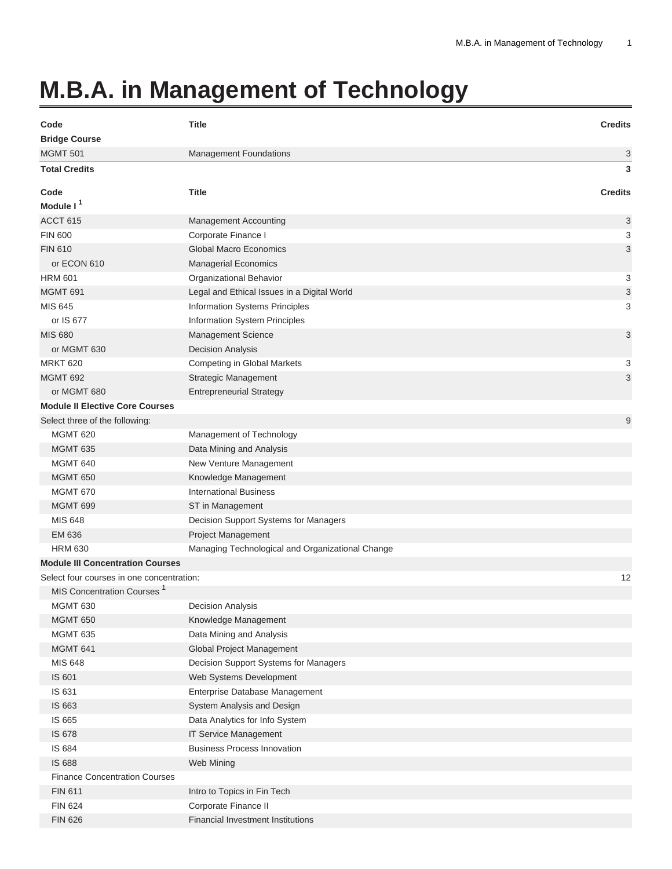## **M.B.A. in Management of Technology**

| Code                                      | <b>Title</b>                                     | <b>Credits</b> |
|-------------------------------------------|--------------------------------------------------|----------------|
| <b>Bridge Course</b>                      |                                                  |                |
| <b>MGMT 501</b>                           | <b>Management Foundations</b>                    | 3              |
| <b>Total Credits</b>                      |                                                  | 3              |
| Code                                      | <b>Title</b>                                     | <b>Credits</b> |
| Module I <sup>1</sup>                     |                                                  |                |
| ACCT 615                                  | Management Accounting                            | 3              |
| <b>FIN 600</b>                            | Corporate Finance I                              | 3              |
| <b>FIN 610</b>                            | <b>Global Macro Economics</b>                    | 3              |
| or ECON 610                               | <b>Managerial Economics</b>                      |                |
| <b>HRM 601</b>                            | Organizational Behavior                          | 3              |
| <b>MGMT 691</b>                           | Legal and Ethical Issues in a Digital World      | 3              |
| MIS 645                                   | Information Systems Principles                   | 3              |
| or IS 677                                 | Information System Principles                    |                |
| <b>MIS 680</b>                            | Management Science                               | 3              |
| or MGMT 630                               | <b>Decision Analysis</b>                         |                |
| <b>MRKT 620</b>                           | Competing in Global Markets                      | 3              |
| <b>MGMT 692</b>                           | <b>Strategic Management</b>                      | 3              |
| or MGMT 680                               | <b>Entrepreneurial Strategy</b>                  |                |
| <b>Module II Elective Core Courses</b>    |                                                  |                |
| Select three of the following:            |                                                  | 9              |
| <b>MGMT 620</b>                           | Management of Technology                         |                |
| <b>MGMT 635</b>                           | Data Mining and Analysis                         |                |
| <b>MGMT 640</b>                           | New Venture Management                           |                |
| <b>MGMT 650</b>                           | Knowledge Management                             |                |
| <b>MGMT 670</b>                           | <b>International Business</b>                    |                |
| <b>MGMT 699</b>                           | ST in Management                                 |                |
| <b>MIS 648</b>                            | Decision Support Systems for Managers            |                |
| EM 636                                    | <b>Project Management</b>                        |                |
| <b>HRM 630</b>                            | Managing Technological and Organizational Change |                |
| <b>Module III Concentration Courses</b>   |                                                  |                |
| Select four courses in one concentration: |                                                  | 12             |
| MIS Concentration Courses <sup>1</sup>    |                                                  |                |
| <b>MGMT 630</b>                           | <b>Decision Analysis</b>                         |                |
| <b>MGMT 650</b>                           | Knowledge Management                             |                |
| <b>MGMT 635</b>                           | Data Mining and Analysis                         |                |
| MGMT 641                                  | Global Project Management                        |                |
| MIS 648                                   | Decision Support Systems for Managers            |                |
| IS 601                                    | Web Systems Development                          |                |
| IS 631                                    | Enterprise Database Management                   |                |
| IS 663                                    | System Analysis and Design                       |                |
| IS 665                                    | Data Analytics for Info System                   |                |
| IS 678                                    | IT Service Management                            |                |
| IS 684                                    | <b>Business Process Innovation</b>               |                |
| <b>IS 688</b>                             | Web Mining                                       |                |
| <b>Finance Concentration Courses</b>      |                                                  |                |
| <b>FIN 611</b>                            | Intro to Topics in Fin Tech                      |                |
| <b>FIN 624</b>                            | Corporate Finance II                             |                |
| <b>FIN 626</b>                            | <b>Financial Investment Institutions</b>         |                |